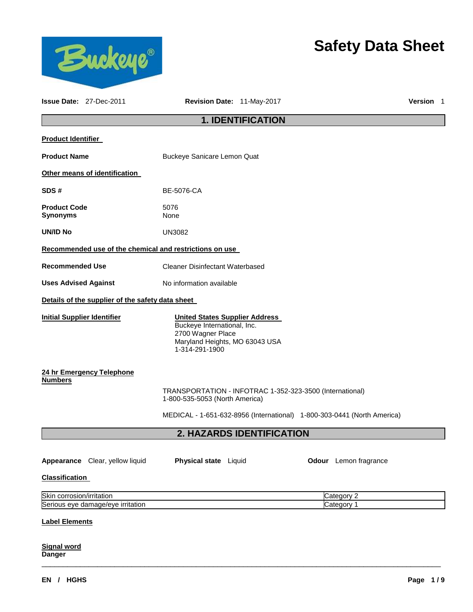

# **Safety Data Sheet**

|                                        | <b>Issue Date: 27-Dec-2011</b>                                               | Revision Date: 11-May-2017                                                                                                                    |                                                          |                                                                         | Version 1 |  |
|----------------------------------------|------------------------------------------------------------------------------|-----------------------------------------------------------------------------------------------------------------------------------------------|----------------------------------------------------------|-------------------------------------------------------------------------|-----------|--|
| <b>1. IDENTIFICATION</b>               |                                                                              |                                                                                                                                               |                                                          |                                                                         |           |  |
| <b>Product Identifier</b>              |                                                                              |                                                                                                                                               |                                                          |                                                                         |           |  |
| <b>Product Name</b>                    |                                                                              | Buckeye Sanicare Lemon Quat                                                                                                                   |                                                          |                                                                         |           |  |
|                                        | Other means of identification                                                |                                                                                                                                               |                                                          |                                                                         |           |  |
| SDS#                                   |                                                                              | BE-5076-CA                                                                                                                                    |                                                          |                                                                         |           |  |
| <b>Product Code</b><br><b>Synonyms</b> |                                                                              | 5076<br>None                                                                                                                                  |                                                          |                                                                         |           |  |
| <b>UN/ID No</b>                        |                                                                              | <b>UN3082</b>                                                                                                                                 |                                                          |                                                                         |           |  |
|                                        |                                                                              | Recommended use of the chemical and restrictions on use                                                                                       |                                                          |                                                                         |           |  |
|                                        | <b>Recommended Use</b><br><b>Cleaner Disinfectant Waterbased</b>             |                                                                                                                                               |                                                          |                                                                         |           |  |
| <b>Uses Advised Against</b>            |                                                                              | No information available                                                                                                                      |                                                          |                                                                         |           |  |
|                                        | Details of the supplier of the safety data sheet                             |                                                                                                                                               |                                                          |                                                                         |           |  |
| <b>Initial Supplier Identifier</b>     |                                                                              | <b>United States Supplier Address</b><br>Buckeye International, Inc.<br>2700 Wagner Place<br>Maryland Heights, MO 63043 USA<br>1-314-291-1900 |                                                          |                                                                         |           |  |
| <b>Numbers</b>                         | 24 hr Emergency Telephone                                                    | 1-800-535-5053 (North America)                                                                                                                | TRANSPORTATION - INFOTRAC 1-352-323-3500 (International) |                                                                         |           |  |
|                                        |                                                                              |                                                                                                                                               |                                                          | MEDICAL - 1-651-632-8956 (International) 1-800-303-0441 (North America) |           |  |
|                                        |                                                                              |                                                                                                                                               | 2. HAZARDS IDENTIFICATION                                |                                                                         |           |  |
| <b>Classification</b>                  | Appearance Clear, yellow liquid                                              | Physical state Liquid                                                                                                                         |                                                          | Odour Lemon fragrance                                                   |           |  |
|                                        |                                                                              |                                                                                                                                               |                                                          | Category 2                                                              |           |  |
|                                        | Skin corrosion/irritation<br>Serious eye damage/eye irritation<br>Category 1 |                                                                                                                                               |                                                          |                                                                         |           |  |
| <b>Label Elements</b>                  |                                                                              |                                                                                                                                               |                                                          |                                                                         |           |  |
| <b>Signal word</b><br><b>Danger</b>    |                                                                              |                                                                                                                                               |                                                          |                                                                         |           |  |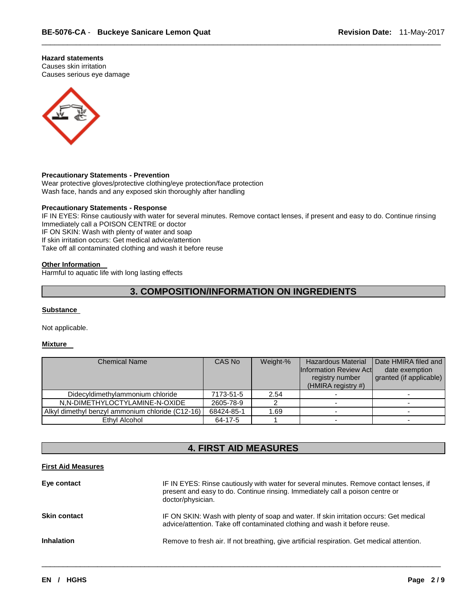# **Hazard statements**

Causes skin irritation Causes serious eye damage



### **Precautionary Statements - Prevention**

Wear protective gloves/protective clothing/eye protection/face protection Wash face, hands and any exposed skin thoroughly after handling

# **Precautionary Statements - Response**

IF IN EYES: Rinse cautiously with water for several minutes. Remove contact lenses, if present and easy to do. Continue rinsing Immediately call a POISON CENTRE or doctor IF ON SKIN: Wash with plenty of water and soap If skin irritation occurs: Get medical advice/attention Take off all contaminated clothing and wash it before reuse

\_\_\_\_\_\_\_\_\_\_\_\_\_\_\_\_\_\_\_\_\_\_\_\_\_\_\_\_\_\_\_\_\_\_\_\_\_\_\_\_\_\_\_\_\_\_\_\_\_\_\_\_\_\_\_\_\_\_\_\_\_\_\_\_\_\_\_\_\_\_\_\_\_\_\_\_\_\_\_\_\_\_\_\_\_\_\_\_\_\_\_\_\_

### **Other Information**

Harmful to aquatic life with long lasting effects

# **3. COMPOSITION/INFORMATION ON INGREDIENTS**

## **Substance**

Not applicable.

# **Mixture**

| <b>Chemical Name</b>                             | CAS No     | Weight-% | <b>Hazardous Material</b><br><b>Information Review Actl</b><br>registry number<br>$(HMIRA$ registry #) | Date HMIRA filed and<br>date exemption<br>granted (if applicable) |
|--------------------------------------------------|------------|----------|--------------------------------------------------------------------------------------------------------|-------------------------------------------------------------------|
| Didecyldimethylammonium chloride                 | 7173-51-5  | 2.54     |                                                                                                        |                                                                   |
| N,N-DIMETHYLOCTYLAMINE-N-OXIDE                   | 2605-78-9  |          |                                                                                                        |                                                                   |
| Alkyl dimethyl benzyl ammonium chloride (C12-16) | 68424-85-1 | .69      |                                                                                                        |                                                                   |
| Ethyl Alcohol                                    | 64-17-5    |          |                                                                                                        |                                                                   |

# **4. FIRST AID MEASURES**

### **First Aid Measures**

| Eye contact         | IF IN EYES: Rinse cautiously with water for several minutes. Remove contact lenses, if<br>present and easy to do. Continue rinsing. Immediately call a poison centre or<br>doctor/physician. |
|---------------------|----------------------------------------------------------------------------------------------------------------------------------------------------------------------------------------------|
| <b>Skin contact</b> | IF ON SKIN: Wash with plenty of soap and water. If skin irritation occurs: Get medical<br>advice/attention. Take off contaminated clothing and wash it before reuse.                         |
| <b>Inhalation</b>   | Remove to fresh air. If not breathing, give artificial respiration. Get medical attention.                                                                                                   |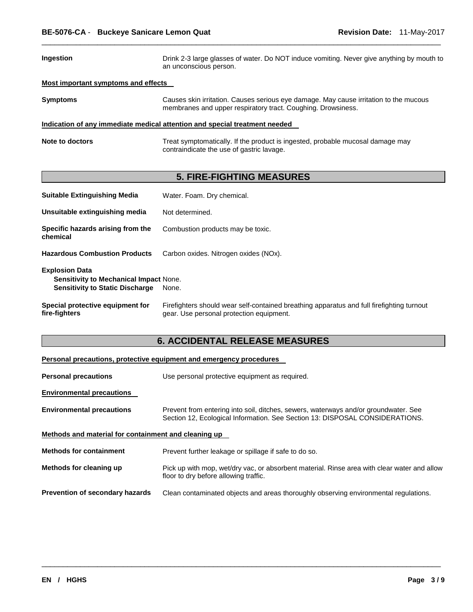| <b>Ingestion</b>                    | Drink 2-3 large glasses of water. Do NOT induce vomiting. Never give anything by mouth to<br>an unconscious person.                                   |
|-------------------------------------|-------------------------------------------------------------------------------------------------------------------------------------------------------|
| Most important symptoms and effects |                                                                                                                                                       |
| <b>Symptoms</b>                     | Causes skin irritation. Causes serious eye damage. May cause irritation to the mucous<br>membranes and upper respiratory tract. Coughing. Drowsiness. |
|                                     | Indication of any immediate medical attention and special treatment needed                                                                            |
| Note to doctors                     | Treat symptomatically. If the product is ingested, probable mucosal damage may<br>contraindicate the use of gastric lavage.                           |

\_\_\_\_\_\_\_\_\_\_\_\_\_\_\_\_\_\_\_\_\_\_\_\_\_\_\_\_\_\_\_\_\_\_\_\_\_\_\_\_\_\_\_\_\_\_\_\_\_\_\_\_\_\_\_\_\_\_\_\_\_\_\_\_\_\_\_\_\_\_\_\_\_\_\_\_\_\_\_\_\_\_\_\_\_\_\_\_\_\_\_\_\_

# **5. FIRE-FIGHTING MEASURES**

| <b>Suitable Extinguishing Media</b>                                                                              | Water. Foam. Dry chemical.                                                                                                            |
|------------------------------------------------------------------------------------------------------------------|---------------------------------------------------------------------------------------------------------------------------------------|
| Unsuitable extinguishing media                                                                                   | Not determined.                                                                                                                       |
| Specific hazards arising from the<br>chemical                                                                    | Combustion products may be toxic.                                                                                                     |
| <b>Hazardous Combustion Products</b>                                                                             | Carbon oxides. Nitrogen oxides (NOx).                                                                                                 |
| <b>Explosion Data</b><br><b>Sensitivity to Mechanical Impact None.</b><br><b>Sensitivity to Static Discharge</b> | None.                                                                                                                                 |
| Special protective equipment for<br>fire-fighters                                                                | Firefighters should wear self-contained breathing apparatus and full firefighting turnout<br>gear. Use personal protection equipment. |

# **6. ACCIDENTAL RELEASE MEASURES**

# **Personal precautions, protective equipment and emergency procedures**

| <b>Personal precautions</b>                          | Use personal protective equipment as required.                                                                                                                      |  |
|------------------------------------------------------|---------------------------------------------------------------------------------------------------------------------------------------------------------------------|--|
| <b>Environmental precautions</b>                     |                                                                                                                                                                     |  |
| <b>Environmental precautions</b>                     | Prevent from entering into soil, ditches, sewers, waterways and/or groundwater. See<br>Section 12, Ecological Information. See Section 13: DISPOSAL CONSIDERATIONS. |  |
| Methods and material for containment and cleaning up |                                                                                                                                                                     |  |
| <b>Methods for containment</b>                       | Prevent further leakage or spillage if safe to do so.                                                                                                               |  |
| Methods for cleaning up                              | Pick up with mop, wet/dry vac, or absorbent material. Rinse area with clear water and allow<br>floor to dry before allowing traffic.                                |  |
| <b>Prevention of secondary hazards</b>               | Clean contaminated objects and areas thoroughly observing environmental regulations.                                                                                |  |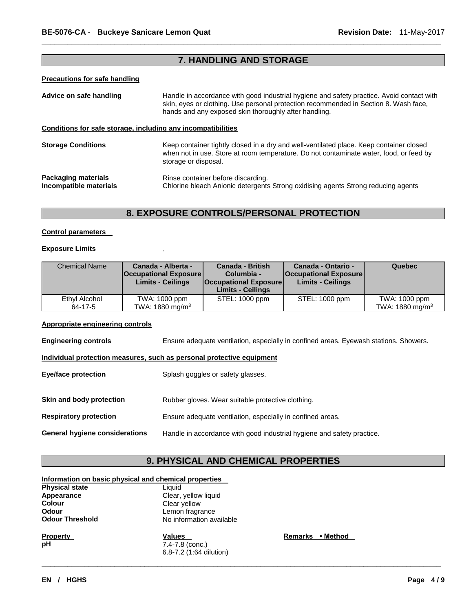# **7. HANDLING AND STORAGE**

\_\_\_\_\_\_\_\_\_\_\_\_\_\_\_\_\_\_\_\_\_\_\_\_\_\_\_\_\_\_\_\_\_\_\_\_\_\_\_\_\_\_\_\_\_\_\_\_\_\_\_\_\_\_\_\_\_\_\_\_\_\_\_\_\_\_\_\_\_\_\_\_\_\_\_\_\_\_\_\_\_\_\_\_\_\_\_\_\_\_\_\_\_

# **Precautions for safe handling**

| Advice on safe handling                                      | Handle in accordance with good industrial hygiene and safety practice. Avoid contact with<br>skin, eyes or clothing. Use personal protection recommended in Section 8. Wash face,<br>hands and any exposed skin thoroughly after handling. |  |
|--------------------------------------------------------------|--------------------------------------------------------------------------------------------------------------------------------------------------------------------------------------------------------------------------------------------|--|
| Conditions for safe storage, including any incompatibilities |                                                                                                                                                                                                                                            |  |
| <b>Storage Conditions</b>                                    | Keep container tightly closed in a dry and well-ventilated place. Keep container closed<br>when not in use. Store at room temperature. Do not contaminate water, food, or feed by<br>storage or disposal.                                  |  |
| Packaging materials<br>Incompatible materials                | Rinse container before discarding.<br>Chlorine bleach Anionic detergents Strong oxidising agents Strong reducing agents                                                                                                                    |  |

# **8. EXPOSURE CONTROLS/PERSONAL PROTECTION**

### **Control parameters**

# **Exposure Limits** .

| <b>Chemical Name</b>     | Canada - Alberta -<br><b>Occupational Exposure</b><br><b>Limits - Ceilings</b> | <b>Canada - British</b><br>Columbia -<br><b>Occupational Exposure</b><br><b>Limits - Ceilings</b> | Canada - Ontario -<br><b>Occupational Exposure</b><br><b>Limits - Ceilings</b> | Quebec                                       |
|--------------------------|--------------------------------------------------------------------------------|---------------------------------------------------------------------------------------------------|--------------------------------------------------------------------------------|----------------------------------------------|
| Ethyl Alcohol<br>64-17-5 | TWA: 1000 ppm<br>TWA: 1880 mg/m <sup>3</sup>                                   | STEL: 1000 ppm                                                                                    | STEL: 1000 ppm                                                                 | TWA: 1000 ppm<br>TWA: 1880 mg/m <sup>3</sup> |

# **Appropriate engineering controls**

| <b>Engineering controls</b>                                           | Ensure adequate ventilation, especially in confined areas. Eyewash stations. Showers. |  |  |
|-----------------------------------------------------------------------|---------------------------------------------------------------------------------------|--|--|
| Individual protection measures, such as personal protective equipment |                                                                                       |  |  |
| <b>Eye/face protection</b>                                            | Splash goggles or safety glasses.                                                     |  |  |
| Skin and body protection                                              | Rubber gloves. Wear suitable protective clothing.                                     |  |  |
| <b>Respiratory protection</b>                                         | Ensure adequate ventilation, especially in confined areas.                            |  |  |
| General hygiene considerations                                        | Handle in accordance with good industrial hygiene and safety practice.                |  |  |

# **9. PHYSICAL AND CHEMICAL PROPERTIES**

\_\_\_\_\_\_\_\_\_\_\_\_\_\_\_\_\_\_\_\_\_\_\_\_\_\_\_\_\_\_\_\_\_\_\_\_\_\_\_\_\_\_\_\_\_\_\_\_\_\_\_\_\_\_\_\_\_\_\_\_\_\_\_\_\_\_\_\_\_\_\_\_\_\_\_\_\_\_\_\_\_\_\_\_\_\_\_\_\_\_\_\_\_

# **Information on basic physical and chemical properties**

| <b>Physical state</b>  | Liauid                   |     |
|------------------------|--------------------------|-----|
| Appearance             | Clear, yellow liquid     |     |
| <b>Colour</b>          | Clear yellow             |     |
| <b>Odour</b>           | Lemon fragrance          |     |
| <b>Odour Threshold</b> | No information available |     |
| <b>Property</b>        | <b>Values</b>            | Ren |
| рH                     | 7.4-7.8 (conc.)          |     |
|                        | 6.8-7.2 (1:64 dilution)  |     |

**Property • Method**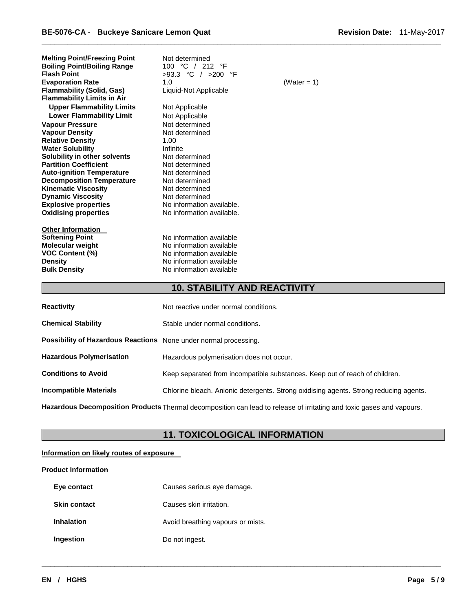| <b>Melting Point/Freezing Point</b><br><b>Boiling Point/Boiling Range</b><br><b>Flash Point</b><br><b>Evaporation Rate</b><br><b>Flammability (Solid, Gas)</b><br><b>Flammability Limits in Air</b> | Not determined<br>100 °C / 212 °F<br>$>93.3$ °C / $>200$ °F<br>1.0<br>Liquid-Not Applicable                                              | (Water = 1) |
|-----------------------------------------------------------------------------------------------------------------------------------------------------------------------------------------------------|------------------------------------------------------------------------------------------------------------------------------------------|-------------|
| <b>Upper Flammability Limits</b><br><b>Lower Flammability Limit</b>                                                                                                                                 | Not Applicable<br>Not Applicable                                                                                                         |             |
| <b>Vapour Pressure</b>                                                                                                                                                                              | Not determined                                                                                                                           |             |
| <b>Vapour Density</b>                                                                                                                                                                               | Not determined                                                                                                                           |             |
| <b>Relative Density</b>                                                                                                                                                                             | 1.00                                                                                                                                     |             |
| <b>Water Solubility</b>                                                                                                                                                                             | Infinite                                                                                                                                 |             |
| Solubility in other solvents                                                                                                                                                                        | Not determined                                                                                                                           |             |
| <b>Partition Coefficient</b>                                                                                                                                                                        | Not determined                                                                                                                           |             |
| <b>Auto-ignition Temperature</b>                                                                                                                                                                    | Not determined                                                                                                                           |             |
| <b>Decomposition Temperature</b>                                                                                                                                                                    | Not determined                                                                                                                           |             |
| <b>Kinematic Viscosity</b>                                                                                                                                                                          | Not determined                                                                                                                           |             |
| <b>Dynamic Viscosity</b>                                                                                                                                                                            | Not determined                                                                                                                           |             |
| <b>Explosive properties</b>                                                                                                                                                                         | No information available.                                                                                                                |             |
| <b>Oxidising properties</b>                                                                                                                                                                         | No information available.                                                                                                                |             |
| <b>Other Information</b><br><b>Softening Point</b><br><b>Molecular weight</b><br><b>VOC Content (%)</b><br><b>Density</b><br><b>Bulk Density</b>                                                    | No information available<br>No information available<br>No information available<br>No information available<br>No information available |             |
|                                                                                                                                                                                                     |                                                                                                                                          |             |

# **10. STABILITY AND REACTIVITY**

\_\_\_\_\_\_\_\_\_\_\_\_\_\_\_\_\_\_\_\_\_\_\_\_\_\_\_\_\_\_\_\_\_\_\_\_\_\_\_\_\_\_\_\_\_\_\_\_\_\_\_\_\_\_\_\_\_\_\_\_\_\_\_\_\_\_\_\_\_\_\_\_\_\_\_\_\_\_\_\_\_\_\_\_\_\_\_\_\_\_\_\_\_

| <b>Reactivity</b>                                                                                                            | Not reactive under normal conditions.                                                 |  |
|------------------------------------------------------------------------------------------------------------------------------|---------------------------------------------------------------------------------------|--|
| <b>Chemical Stability</b>                                                                                                    | Stable under normal conditions.                                                       |  |
| Possibility of Hazardous Reactions None under normal processing.                                                             |                                                                                       |  |
| <b>Hazardous Polymerisation</b>                                                                                              | Hazardous polymerisation does not occur.                                              |  |
| <b>Conditions to Avoid</b>                                                                                                   | Keep separated from incompatible substances. Keep out of reach of children.           |  |
| <b>Incompatible Materials</b>                                                                                                | Chlorine bleach. Anionic detergents. Strong oxidising agents. Strong reducing agents. |  |
| <b>Hazardous Decomposition Products</b> Thermal decomposition can lead to release of irritating and toxic gases and vapours. |                                                                                       |  |

# **11. TOXICOLOGICAL INFORMATION**

\_\_\_\_\_\_\_\_\_\_\_\_\_\_\_\_\_\_\_\_\_\_\_\_\_\_\_\_\_\_\_\_\_\_\_\_\_\_\_\_\_\_\_\_\_\_\_\_\_\_\_\_\_\_\_\_\_\_\_\_\_\_\_\_\_\_\_\_\_\_\_\_\_\_\_\_\_\_\_\_\_\_\_\_\_\_\_\_\_\_\_\_\_

# **Information on likely routes of exposure**

# **Product Information**

| Eye contact         | Causes serious eye damage.        |
|---------------------|-----------------------------------|
| <b>Skin contact</b> | Causes skin irritation.           |
| <b>Inhalation</b>   | Avoid breathing vapours or mists. |
| Ingestion           | Do not ingest.                    |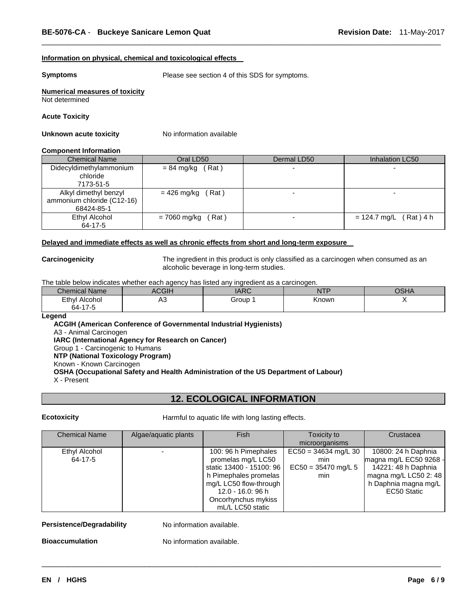### **Information on physical, chemical and toxicological effects**

**Symptoms** Please see section 4 of this SDS for symptoms.

\_\_\_\_\_\_\_\_\_\_\_\_\_\_\_\_\_\_\_\_\_\_\_\_\_\_\_\_\_\_\_\_\_\_\_\_\_\_\_\_\_\_\_\_\_\_\_\_\_\_\_\_\_\_\_\_\_\_\_\_\_\_\_\_\_\_\_\_\_\_\_\_\_\_\_\_\_\_\_\_\_\_\_\_\_\_\_\_\_\_\_\_\_

# **Numerical measures of toxicity** Not determined

### **Acute Toxicity**

### **Unknown acute toxicity No information available**

### **Component Information**

| <b>Chemical Name</b>       | Oral LD50             | Dermal LD50 | Inhalation LC50          |
|----------------------------|-----------------------|-------------|--------------------------|
| Didecyldimethylammonium    | $= 84$ mg/kg (Rat)    |             |                          |
| chloride                   |                       |             |                          |
| 7173-51-5                  |                       |             |                          |
| Alkyl dimethyl benzyl      | $= 426$ mg/kg (Rat)   |             |                          |
| ammonium chloride (C12-16) |                       |             |                          |
| 68424-85-1                 |                       |             |                          |
| Ethyl Alcohol              | (Rat)<br>= 7060 mg/kg |             | $= 124.7$ mg/L (Rat) 4 h |
| 64-17-5                    |                       |             |                          |

# **Delayed and immediate effects as well as chronic effects from short and long-term exposure**

**Carcinogenicity** The ingredient in this product is only classified as a carcinogen when consumed as an alcoholic beverage in long-term studies.

The table below indicates whether each agency has listed any ingredient as a carcinogen.

| $\sim$<br>Chemical Name | $\cap$<br>ווטטו | $\overline{ADC}$<br><b>ANV</b> | $1 - 1$<br>NL<br>. | $\sim$ $\sim$ $\sim$<br>j<br><b>In</b> |
|-------------------------|-----------------|--------------------------------|--------------------|----------------------------------------|
| Ethyl<br>Alcohol        | nυ              | Group                          | Known              |                                        |
| $64 - 17$               |                 |                                |                    |                                        |

### **Legend**

**ACGIH (American Conference of Governmental Industrial Hygienists)** A3 - Animal Carcinogen **IARC (International Agency for Research on Cancer)** Group 1 - Carcinogenic to Humans **NTP (National Toxicology Program)** Known - Known Carcinogen **OSHA (Occupational Safety and Health Administration of the US Department of Labour)** X - Present

# **12. ECOLOGICAL INFORMATION**

**Ecotoxicity Harmful to aquatic life with long lasting effects.** 

| <b>Chemical Name</b> | Algae/aquatic plants | Fish                     | Toxicity to            | Crustacea              |
|----------------------|----------------------|--------------------------|------------------------|------------------------|
|                      |                      |                          | microorganisms         |                        |
| Ethyl Alcohol        |                      | 100: 96 h Pimephales     | $EC50 = 34634$ mg/L 30 | 10800: 24 h Daphnia    |
| 64-17-5              |                      | promelas mg/L LC50       | min                    | magna mg/L EC50 9268 - |
|                      |                      | static 13400 - 15100: 96 | $EC50 = 35470$ mg/L 5  | 14221: 48 h Daphnia    |
|                      |                      | h Pimephales promelas    | min                    | magna mg/L LC50 2: 48  |
|                      |                      | mg/L LC50 flow-through   |                        | h Daphnia magna mg/L   |
|                      |                      | 12.0 - 16.0: 96 h        |                        | EC50 Static            |
|                      |                      | Oncorhynchus mykiss      |                        |                        |
|                      |                      | mL/L LC50 static         |                        |                        |

\_\_\_\_\_\_\_\_\_\_\_\_\_\_\_\_\_\_\_\_\_\_\_\_\_\_\_\_\_\_\_\_\_\_\_\_\_\_\_\_\_\_\_\_\_\_\_\_\_\_\_\_\_\_\_\_\_\_\_\_\_\_\_\_\_\_\_\_\_\_\_\_\_\_\_\_\_\_\_\_\_\_\_\_\_\_\_\_\_\_\_\_\_

### **Persistence/Degradability** No information available.

**Bioaccumulation** No information available.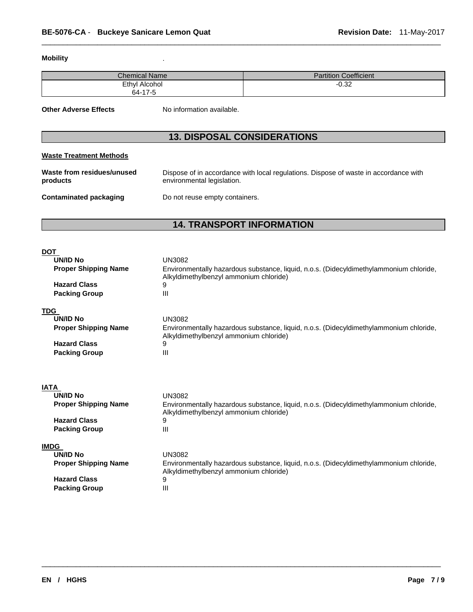# **Mobility** .

| <b>Chemical Name</b> | <b>Partition Coefficient</b> |
|----------------------|------------------------------|
| <b>Ethyl Alcohol</b> | $-0.32$                      |
| 64-17-5              |                              |

\_\_\_\_\_\_\_\_\_\_\_\_\_\_\_\_\_\_\_\_\_\_\_\_\_\_\_\_\_\_\_\_\_\_\_\_\_\_\_\_\_\_\_\_\_\_\_\_\_\_\_\_\_\_\_\_\_\_\_\_\_\_\_\_\_\_\_\_\_\_\_\_\_\_\_\_\_\_\_\_\_\_\_\_\_\_\_\_\_\_\_\_\_

**Other Adverse Effects** No information available.

# **13. DISPOSAL CONSIDERATIONS**

# **Waste Treatment Methods**

| Waste from residues/unused | Dispose of in accordance with local regulations. Dispose of waste in accordance with |
|----------------------------|--------------------------------------------------------------------------------------|
| products                   | environmental legislation.                                                           |
| Contaminated packaging     | Do not reuse empty containers.                                                       |

# **14. TRANSPORT INFORMATION**

| <b>UN/ID No</b><br><b>UN3082</b>                                                                                                                                                                                                               |  |
|------------------------------------------------------------------------------------------------------------------------------------------------------------------------------------------------------------------------------------------------|--|
|                                                                                                                                                                                                                                                |  |
| <b>Proper Shipping Name</b><br>Environmentally hazardous substance, liquid, n.o.s. (Didecyldimethylammonium chloride,<br>Alkyldimethylbenzyl ammonium chloride)                                                                                |  |
| <b>Hazard Class</b><br>9                                                                                                                                                                                                                       |  |
| <b>Packing Group</b><br>III                                                                                                                                                                                                                    |  |
| <b>TDG</b>                                                                                                                                                                                                                                     |  |
| <b>UN/ID No</b><br><b>UN3082</b>                                                                                                                                                                                                               |  |
| <b>Proper Shipping Name</b><br>Environmentally hazardous substance, liquid, n.o.s. (Didecyldimethylammonium chloride,<br>Alkyldimethylbenzyl ammonium chloride)                                                                                |  |
| <b>Hazard Class</b><br>9                                                                                                                                                                                                                       |  |
| <b>Packing Group</b><br>III                                                                                                                                                                                                                    |  |
|                                                                                                                                                                                                                                                |  |
| <b>IATA</b><br><b>UN/ID No</b><br><b>UN3082</b><br>Environmentally hazardous substance, liquid, n.o.s. (Didecyldimethylammonium chloride,<br><b>Proper Shipping Name</b><br>Alkyldimethylbenzyl ammonium chloride)<br><b>Hazard Class</b><br>9 |  |
| <b>Packing Group</b><br>III                                                                                                                                                                                                                    |  |
| <b>IMDG</b>                                                                                                                                                                                                                                    |  |
| <b>UN/ID No</b><br><b>UN3082</b>                                                                                                                                                                                                               |  |
| <b>Proper Shipping Name</b><br>Environmentally hazardous substance, liquid, n.o.s. (Didecyldimethylammonium chloride,<br>Alkyldimethylbenzyl ammonium chloride)                                                                                |  |
| <b>Hazard Class</b><br>9                                                                                                                                                                                                                       |  |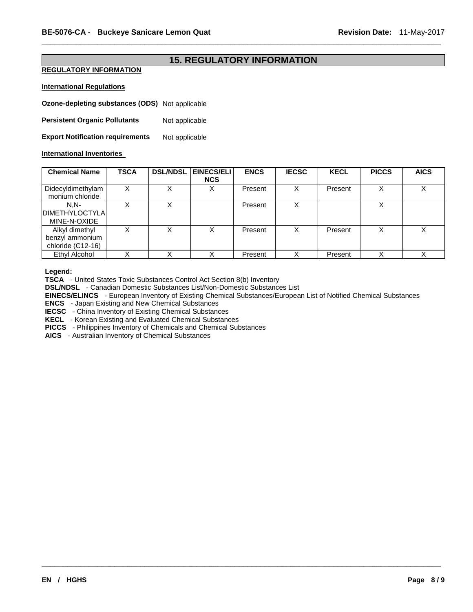# **15. REGULATORY INFORMATION**

\_\_\_\_\_\_\_\_\_\_\_\_\_\_\_\_\_\_\_\_\_\_\_\_\_\_\_\_\_\_\_\_\_\_\_\_\_\_\_\_\_\_\_\_\_\_\_\_\_\_\_\_\_\_\_\_\_\_\_\_\_\_\_\_\_\_\_\_\_\_\_\_\_\_\_\_\_\_\_\_\_\_\_\_\_\_\_\_\_\_\_\_\_

# **REGULATORY INFORMATION**

# **International Regulations**

**Ozone-depleting substances (ODS)** Not applicable

**Persistent Organic Pollutants** Not applicable

**Export Notification requirements** Not applicable

# **International Inventories**

| <b>Chemical Name</b>                                   | <b>TSCA</b> | <b>DSL/NDSL</b> | <b>EINECS/ELI I</b><br><b>NCS</b> | <b>ENCS</b> | <b>IECSC</b> | <b>KECL</b> | <b>PICCS</b> | <b>AICS</b> |
|--------------------------------------------------------|-------------|-----------------|-----------------------------------|-------------|--------------|-------------|--------------|-------------|
| Didecyldimethylam<br>monium chloride                   |             | х               | Х                                 | Present     | х            | Present     |              |             |
| $N.N-$<br><b>IDIMETHYLOCTYLAI</b><br>MINE-N-OXIDE      |             | v               |                                   | Present     | X            |             |              |             |
| Alkyl dimethyl<br>benzyl ammonium<br>chloride (C12-16) |             | X               | Χ                                 | Present     | х            | Present     |              |             |
| <b>Ethyl Alcohol</b>                                   |             |                 |                                   | Present     |              | Present     |              |             |

# **Legend:**

**TSCA** - United States Toxic Substances Control Act Section 8(b) Inventory

**DSL/NDSL** - Canadian Domestic Substances List/Non-Domestic Substances List

**EINECS/ELINCS** - European Inventory of Existing Chemical Substances/European List of Notified Chemical Substances

\_\_\_\_\_\_\_\_\_\_\_\_\_\_\_\_\_\_\_\_\_\_\_\_\_\_\_\_\_\_\_\_\_\_\_\_\_\_\_\_\_\_\_\_\_\_\_\_\_\_\_\_\_\_\_\_\_\_\_\_\_\_\_\_\_\_\_\_\_\_\_\_\_\_\_\_\_\_\_\_\_\_\_\_\_\_\_\_\_\_\_\_\_

**ENCS** - Japan Existing and New Chemical Substances

**IECSC** - China Inventory of Existing Chemical Substances

**KECL** - Korean Existing and Evaluated Chemical Substances **PICCS** - Philippines Inventory of Chemicals and Chemical Substances

**AICS** - Australian Inventory of Chemical Substances